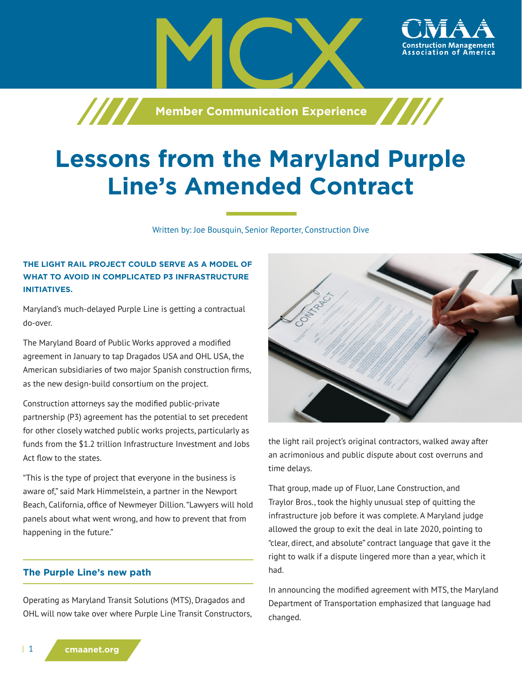**Member Communication Experience**

# **Lessons from the Maryland Purple Line's Amended Contract**

Written by: Joe Bousquin, Senior Reporter, Construction Dive

## **THE LIGHT RAIL PROJECT COULD SERVE AS A MODEL OF WHAT TO AVOID IN COMPLICATED P3 INFRASTRUCTURE INITIATIVES.**

/////

Maryland's much-delayed Purple Line is getting a contractual do-over.

The Maryland Board of Public Works approved a modified agreement in January to tap Dragados USA and OHL USA, the American subsidiaries of two major Spanish construction firms, as the new design-build consortium on the project.

Construction attorneys say the modified public-private partnership (P3) agreement has the potential to set precedent for other closely watched public works projects, particularly as funds from the \$1.2 trillion Infrastructure Investment and Jobs Act flow to the states.

"This is the type of project that everyone in the business is aware of," said Mark Himmelstein, a partner in the Newport Beach, California, office of Newmeyer Dillion. "Lawyers will hold panels about what went wrong, and how to prevent that from happening in the future."

## **The Purple Line's new path**

Operating as Maryland Transit Solutions (MTS), Dragados and OHL will now take over where Purple Line Transit Constructors,



the light rail project's original contractors, walked away after an acrimonious and public dispute about cost overruns and time delays.

That group, made up of Fluor, Lane Construction, and Traylor Bros., took the highly unusual step of quitting the infrastructure job before it was complete. A Maryland judge allowed the group to exit the deal in late 2020, pointing to "clear, direct, and absolute" contract language that gave it the right to walk if a dispute lingered more than a year, which it had.

In announcing the modified agreement with MTS, the Maryland Department of Transportation emphasized that language had changed.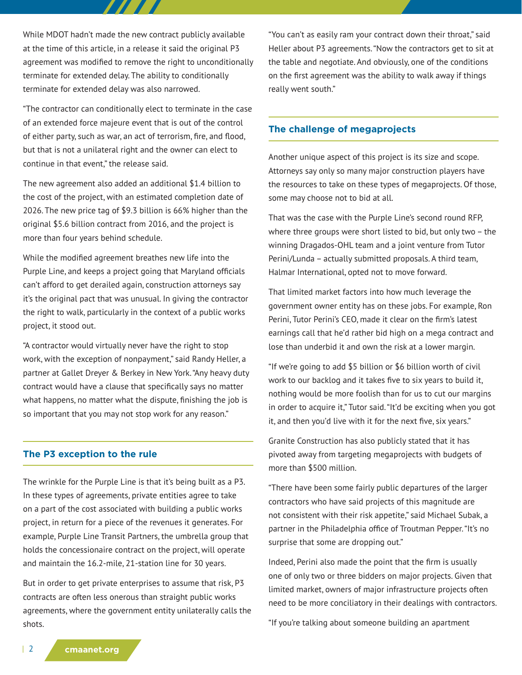While MDOT hadn't made the new contract publicly available at the time of this article, in a release it said the original P3 agreement was modified to remove the right to unconditionally terminate for extended delay. The ability to conditionally terminate for extended delay was also narrowed.

"The contractor can conditionally elect to terminate in the case of an extended force majeure event that is out of the control of either party, such as war, an act of terrorism, fire, and flood, but that is not a unilateral right and the owner can elect to continue in that event," the release said.

The new agreement also added an additional \$1.4 billion to the cost of the project, with an estimated completion date of 2026. The new price tag of \$9.3 billion is 66% higher than the original \$5.6 billion contract from 2016, and the project is more than four years behind schedule.

While the modified agreement breathes new life into the Purple Line, and keeps a project going that Maryland officials can't afford to get derailed again, construction attorneys say it's the original pact that was unusual. In giving the contractor the right to walk, particularly in the context of a public works project, it stood out.

"A contractor would virtually never have the right to stop work, with the exception of nonpayment," said Randy Heller, a partner at Gallet Dreyer & Berkey in New York. "Any heavy duty contract would have a clause that specifically says no matter what happens, no matter what the dispute, finishing the job is so important that you may not stop work for any reason."

#### **The P3 exception to the rule**

The wrinkle for the Purple Line is that it's being built as a P3. In these types of agreements, private entities agree to take on a part of the cost associated with building a public works project, in return for a piece of the revenues it generates. For example, Purple Line Transit Partners, the umbrella group that holds the concessionaire contract on the project, will operate and maintain the 16.2-mile, 21-station line for 30 years.

But in order to get private enterprises to assume that risk, P3 contracts are often less onerous than straight public works agreements, where the government entity unilaterally calls the shots.

"You can't as easily ram your contract down their throat," said Heller about P3 agreements. "Now the contractors get to sit at the table and negotiate. And obviously, one of the conditions on the first agreement was the ability to walk away if things really went south."

### **The challenge of megaprojects**

Another unique aspect of this project is its size and scope. Attorneys say only so many major construction players have the resources to take on these types of megaprojects. Of those, some may choose not to bid at all.

That was the case with the Purple Line's second round RFP, where three groups were short listed to bid, but only two – the winning Dragados-OHL team and a joint venture from Tutor Perini/Lunda – actually submitted proposals. A third team, Halmar International, opted not to move forward.

That limited market factors into how much leverage the government owner entity has on these jobs. For example, Ron Perini, Tutor Perini's CEO, made it clear on the firm's latest earnings call that he'd rather bid high on a mega contract and lose than underbid it and own the risk at a lower margin.

"If we're going to add \$5 billion or \$6 billion worth of civil work to our backlog and it takes five to six years to build it, nothing would be more foolish than for us to cut our margins in order to acquire it," Tutor said. "It'd be exciting when you got it, and then you'd live with it for the next five, six years."

Granite Construction has also publicly stated that it has pivoted away from targeting megaprojects with budgets of more than \$500 million.

"There have been some fairly public departures of the larger contractors who have said projects of this magnitude are not consistent with their risk appetite," said Michael Subak, a partner in the Philadelphia office of Troutman Pepper. "It's no surprise that some are dropping out."

Indeed, Perini also made the point that the firm is usually one of only two or three bidders on major projects. Given that limited market, owners of major infrastructure projects often need to be more conciliatory in their dealings with contractors.

"If you're talking about someone building an apartment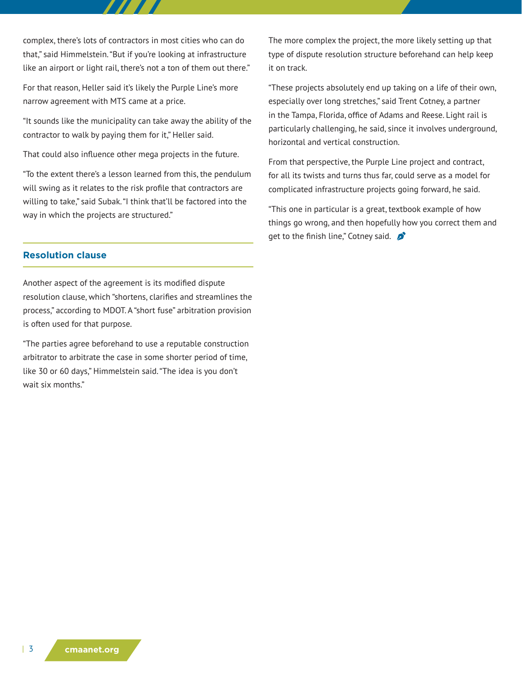complex, there's lots of contractors in most cities who can do that," said Himmelstein. "But if you're looking at infrastructure like an airport or light rail, there's not a ton of them out there."

For that reason, Heller said it's likely the Purple Line's more narrow agreement with MTS came at a price.

"It sounds like the municipality can take away the ability of the contractor to walk by paying them for it," Heller said.

That could also influence other mega projects in the future.

"To the extent there's a lesson learned from this, the pendulum will swing as it relates to the risk profile that contractors are willing to take," said Subak. "I think that'll be factored into the way in which the projects are structured."

## **Resolution clause**

Another aspect of the agreement is its modified dispute resolution clause, which "shortens, clarifies and streamlines the process," according to MDOT. A "short fuse" arbitration provision is often used for that purpose.

"The parties agree beforehand to use a reputable construction arbitrator to arbitrate the case in some shorter period of time, like 30 or 60 days," Himmelstein said. "The idea is you don't wait six months."

The more complex the project, the more likely setting up that type of dispute resolution structure beforehand can help keep it on track.

"These projects absolutely end up taking on a life of their own, especially over long stretches," said Trent Cotney, a partner in the Tampa, Florida, office of Adams and Reese. Light rail is particularly challenging, he said, since it involves underground, horizontal and vertical construction.

From that perspective, the Purple Line project and contract, for all its twists and turns thus far, could serve as a model for complicated infrastructure projects going forward, he said.

"This one in particular is a great, textbook example of how things go wrong, and then hopefully how you correct them and get to the finish line," Cotney said.